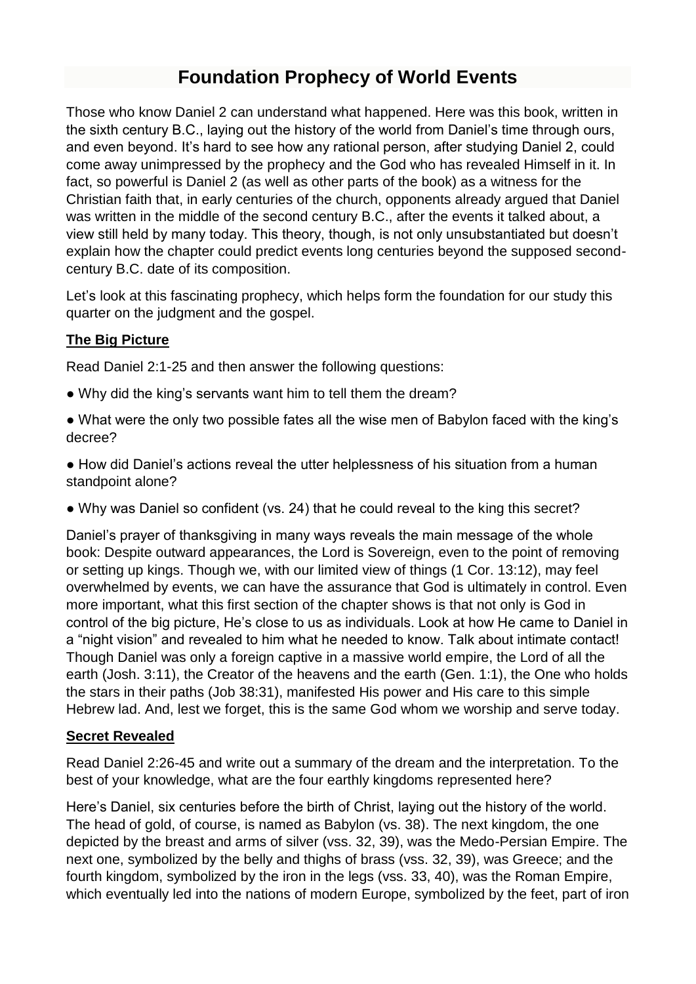# **Foundation Prophecy of World Events**

Those who know Daniel 2 can understand what happened. Here was this book, written in the sixth century B.C., laying out the history of the world from Daniel's time through ours, and even beyond. It's hard to see how any rational person, after studying Daniel 2, could come away unimpressed by the prophecy and the God who has revealed Himself in it. In fact, so powerful is Daniel 2 (as well as other parts of the book) as a witness for the Christian faith that, in early centuries of the church, opponents already argued that Daniel was written in the middle of the second century B.C., after the events it talked about, a view still held by many today. This theory, though, is not only unsubstantiated but doesn't explain how the chapter could predict events long centuries beyond the supposed secondcentury B.C. date of its composition.

Let's look at this fascinating prophecy, which helps form the foundation for our study this quarter on the judgment and the gospel.

# **The Big Picture**

Read Daniel 2:1-25 and then answer the following questions:

- Why did the king's servants want him to tell them the dream?
- What were the only two possible fates all the wise men of Babylon faced with the king's decree?
- How did Daniel's actions reveal the utter helplessness of his situation from a human standpoint alone?
- Why was Daniel so confident (vs. 24) that he could reveal to the king this secret?

Daniel's prayer of thanksgiving in many ways reveals the main message of the whole book: Despite outward appearances, the Lord is Sovereign, even to the point of removing or setting up kings. Though we, with our limited view of things (1 Cor. 13:12), may feel overwhelmed by events, we can have the assurance that God is ultimately in control. Even more important, what this first section of the chapter shows is that not only is God in control of the big picture, He's close to us as individuals. Look at how He came to Daniel in a "night vision" and revealed to him what he needed to know. Talk about intimate contact! Though Daniel was only a foreign captive in a massive world empire, the Lord of all the earth (Josh. 3:11), the Creator of the heavens and the earth (Gen. 1:1), the One who holds the stars in their paths (Job 38:31), manifested His power and His care to this simple Hebrew lad. And, lest we forget, this is the same God whom we worship and serve today.

### **Secret Revealed**

Read Daniel 2:26-45 and write out a summary of the dream and the interpretation. To the best of your knowledge, what are the four earthly kingdoms represented here?

Here's Daniel, six centuries before the birth of Christ, laying out the history of the world. The head of gold, of course, is named as Babylon (vs. 38). The next kingdom, the one depicted by the breast and arms of silver (vss. 32, 39), was the Medo-Persian Empire. The next one, symbolized by the belly and thighs of brass (vss. 32, 39), was Greece; and the fourth kingdom, symbolized by the iron in the legs (vss. 33, 40), was the Roman Empire, which eventually led into the nations of modern Europe, symbolized by the feet, part of iron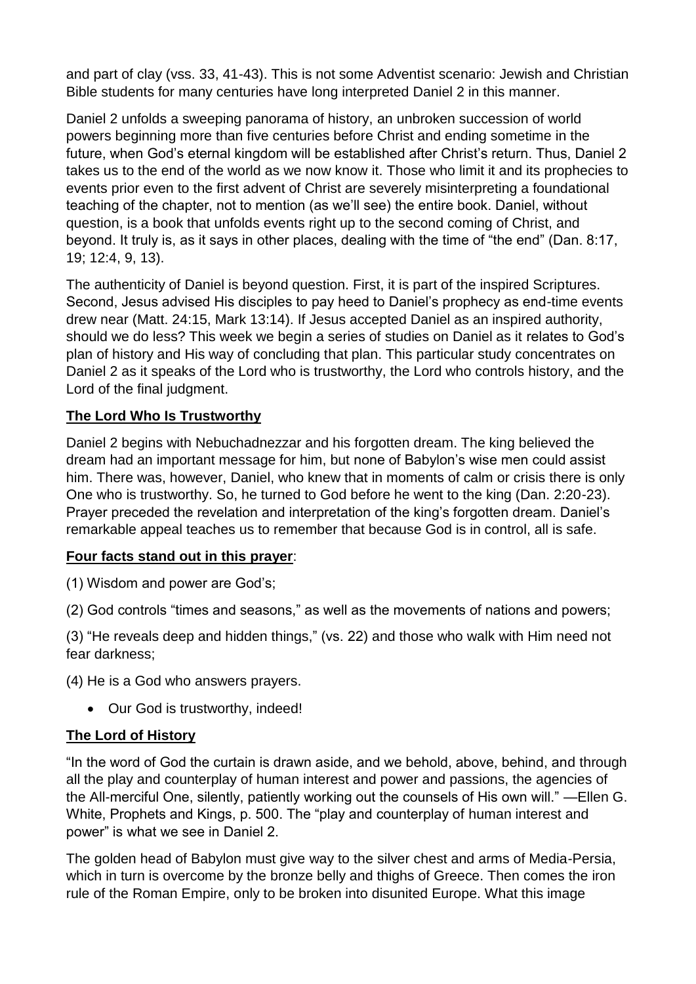and part of clay (vss. 33, 41-43). This is not some Adventist scenario: Jewish and Christian Bible students for many centuries have long interpreted Daniel 2 in this manner.

Daniel 2 unfolds a sweeping panorama of history, an unbroken succession of world powers beginning more than five centuries before Christ and ending sometime in the future, when God's eternal kingdom will be established after Christ's return. Thus, Daniel 2 takes us to the end of the world as we now know it. Those who limit it and its prophecies to events prior even to the first advent of Christ are severely misinterpreting a foundational teaching of the chapter, not to mention (as we'll see) the entire book. Daniel, without question, is a book that unfolds events right up to the second coming of Christ, and beyond. It truly is, as it says in other places, dealing with the time of "the end" (Dan. 8:17, 19; 12:4, 9, 13).

The authenticity of Daniel is beyond question. First, it is part of the inspired Scriptures. Second, Jesus advised His disciples to pay heed to Daniel's prophecy as end-time events drew near (Matt. 24:15, Mark 13:14). If Jesus accepted Daniel as an inspired authority, should we do less? This week we begin a series of studies on Daniel as it relates to God's plan of history and His way of concluding that plan. This particular study concentrates on Daniel 2 as it speaks of the Lord who is trustworthy, the Lord who controls history, and the Lord of the final judgment.

# **The Lord Who Is Trustworthy**

Daniel 2 begins with Nebuchadnezzar and his forgotten dream. The king believed the dream had an important message for him, but none of Babylon's wise men could assist him. There was, however, Daniel, who knew that in moments of calm or crisis there is only One who is trustworthy. So, he turned to God before he went to the king (Dan. 2:20-23). Prayer preceded the revelation and interpretation of the king's forgotten dream. Daniel's remarkable appeal teaches us to remember that because God is in control, all is safe.

### **Four facts stand out in this prayer**:

(1) Wisdom and power are God's;

(2) God controls "times and seasons," as well as the movements of nations and powers;

(3) "He reveals deep and hidden things," (vs. 22) and those who walk with Him need not fear darkness;

(4) He is a God who answers prayers.

• Our God is trustworthy, indeed!

### **The Lord of History**

"In the word of God the curtain is drawn aside, and we behold, above, behind, and through all the play and counterplay of human interest and power and passions, the agencies of the All-merciful One, silently, patiently working out the counsels of His own will." —Ellen G. White, Prophets and Kings, p. 500. The "play and counterplay of human interest and power" is what we see in Daniel 2.

The golden head of Babylon must give way to the silver chest and arms of Media-Persia, which in turn is overcome by the bronze belly and thighs of Greece. Then comes the iron rule of the Roman Empire, only to be broken into disunited Europe. What this image